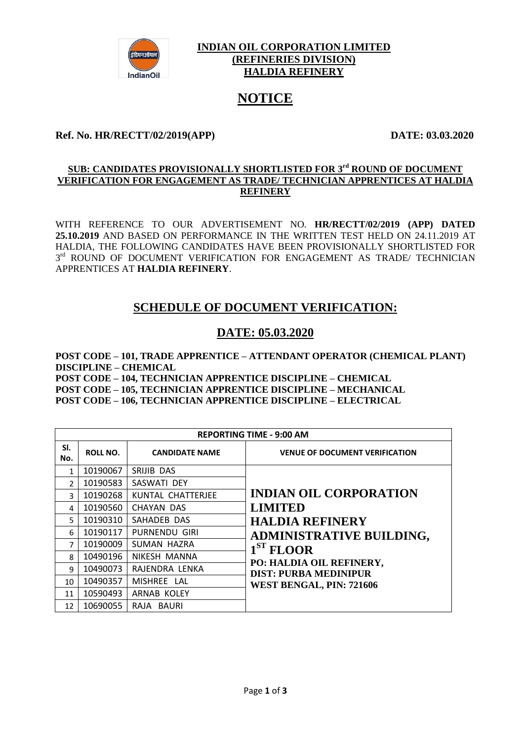

#### **INDIAN OIL CORPORATION LIMITED (REFINERIES DIVISION) HALDIA REFINERY**

# **NOTICE**

### **Ref. No. HR/RECTT/02/2019(APP) DATE: 03.03.2020**

#### **<u>SUB: CANDIDATES PROVISIONALLY SHORTLISTED FOR 3<sup>rd</sup> ROUND OF DOCUMENT</u> VERIFICATION FOR ENGAGEMENT AS TRADE/ TECHNICIAN APPRENTICES AT HALDIA REFINERY**

WITH REFERENCE TO OUR ADVERTISEMENT NO. **HR/RECTT/02/2019 (APP) DATED 25.10.2019** AND BASED ON PERFORMANCE IN THE WRITTEN TEST HELD ON 24.11.2019 AT HALDIA, THE FOLLOWING CANDIDATES HAVE BEEN PROVISIONALLY SHORTLISTED FOR  $3<sup>rd</sup>$  ROUND OF DOCUMENT VERIFICATION FOR ENGAGEMENT AS TRADE/ TECHNICIAN APPRENTICES AT **HALDIA REFINERY**.

# **SCHEDULE OF DOCUMENT VERIFICATION:**

## **DATE: 05.03.2020**

**POST CODE – 101, TRADE APPRENTICE – ATTENDANT OPERATOR (CHEMICAL PLANT) DISCIPLINE – CHEMICAL POST CODE – 104, TECHNICIAN APPRENTICE DISCIPLINE – CHEMICAL POST CODE – 105, TECHNICIAN APPRENTICE DISCIPLINE – MECHANICAL POST CODE – 106, TECHNICIAN APPRENTICE DISCIPLINE – ELECTRICAL**

| <b>REPORTING TIME - 9:00 AM</b> |                 |                       |                                                                           |  |
|---------------------------------|-----------------|-----------------------|---------------------------------------------------------------------------|--|
| SI.<br>No.                      | <b>ROLL NO.</b> | <b>CANDIDATE NAME</b> | <b>VENUE OF DOCUMENT VERIFICATION</b>                                     |  |
| 1                               | 10190067        | SRIJIB DAS            |                                                                           |  |
| $\mathcal{P}$                   | 10190583        | SASWATI DEY           |                                                                           |  |
| 3                               | 10190268        | KUNTAL CHATTERJEE     | <b>INDIAN OIL CORPORATION</b><br><b>LIMITED</b><br><b>HALDIA REFINERY</b> |  |
| 4                               | 10190560        | CHAYAN DAS            |                                                                           |  |
| 5.                              | 10190310        | SAHADEB DAS           |                                                                           |  |
| 6                               | 10190117        | PURNENDU GIRI         | <b>ADMINISTRATIVE BUILDING,</b>                                           |  |
| $\overline{7}$                  | 10190009        | SUMAN HAZRA           | $1ST$ FLOOR                                                               |  |
| $\mathsf{R}$                    | 10490196        | NIKESH MANNA          |                                                                           |  |
| 9                               | 10490073        | RAJENDRA LENKA        | PO: HALDIA OIL REFINERY,<br><b>DIST: PURBA MEDINIPUR</b>                  |  |
| 10                              | 10490357        | MISHREE LAL           | WEST BENGAL, PIN: 721606                                                  |  |
| 11                              | 10590493        | ARNAB KOLEY           |                                                                           |  |
| 12 <sup>1</sup>                 | 10690055        | RAJA BAURI            |                                                                           |  |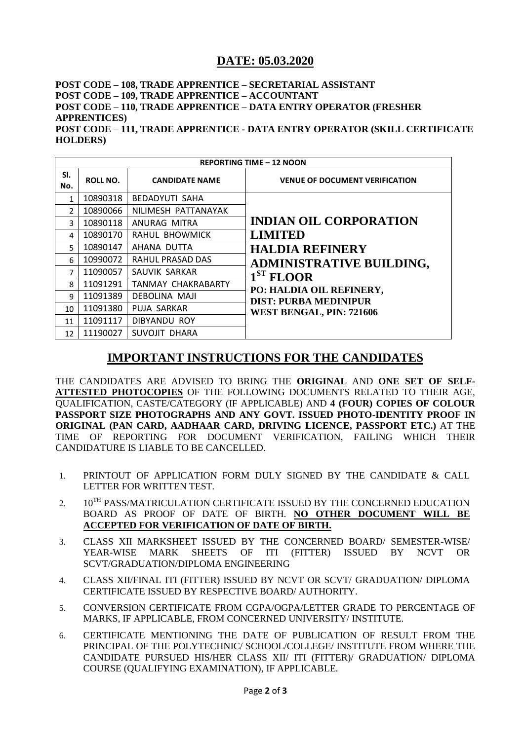## **DATE: 05.03.2020**

#### **POST CODE – 108, TRADE APPRENTICE – SECRETARIAL ASSISTANT POST CODE – 109, TRADE APPRENTICE – ACCOUNTANT POST CODE – 110, TRADE APPRENTICE – DATA ENTRY OPERATOR (FRESHER APPRENTICES) POST CODE – 111, TRADE APPRENTICE - DATA ENTRY OPERATOR (SKILL CERTIFICATE HOLDERS)**

| <b>REPORTING TIME - 12 NOON</b> |                 |                           |                                                                           |  |
|---------------------------------|-----------------|---------------------------|---------------------------------------------------------------------------|--|
| SI.<br>No.                      | <b>ROLL NO.</b> | <b>CANDIDATE NAME</b>     | <b>VENUE OF DOCUMENT VERIFICATION</b>                                     |  |
| 1                               | 10890318        | <b>BEDADYUTI SAHA</b>     |                                                                           |  |
| $\mathcal{P}$                   | 10890066        | NILIMESH PATTANAYAK       | <b>INDIAN OIL CORPORATION</b><br><b>LIMITED</b><br><b>HALDIA REFINERY</b> |  |
| 3                               | 10890118        | ANURAG MITRA              |                                                                           |  |
| 4                               | 10890170        | RAHUL BHOWMICK            |                                                                           |  |
| 5                               | 10890147        | AHANA DUTTA               |                                                                           |  |
| 6                               | 10990072        | <b>RAHUL PRASAD DAS</b>   | <b>ADMINISTRATIVE BUILDING,</b>                                           |  |
| $\overline{7}$                  | 11090057        | SAUVIK SARKAR             | $1ST$ FLOOR                                                               |  |
| 8                               | 11091291        | <b>TANMAY CHAKRABARTY</b> | PO: HALDIA OIL REFINERY,                                                  |  |
| 9                               | 11091389        | <b>DEBOLINA MAJI</b>      | <b>DIST: PURBA MEDINIPUR</b>                                              |  |
| 10                              | 11091380        | PUJA SARKAR               | <b>WEST BENGAL, PIN: 721606</b>                                           |  |
| 11                              | 11091117        | DIBYANDU ROY              |                                                                           |  |
| 12                              | 11190027        | SUVOJIT DHARA             |                                                                           |  |

# **IMPORTANT INSTRUCTIONS FOR THE CANDIDATES**

THE CANDIDATES ARE ADVISED TO BRING THE **ORIGINAL** AND **ONE SET OF SELF-ATTESTED PHOTOCOPIES** OF THE FOLLOWING DOCUMENTS RELATED TO THEIR AGE, QUALIFICATION, CASTE/CATEGORY (IF APPLICABLE) AND **4 (FOUR) COPIES OF COLOUR PASSPORT SIZE PHOTOGRAPHS AND ANY GOVT. ISSUED PHOTO-IDENTITY PROOF IN ORIGINAL (PAN CARD, AADHAAR CARD, DRIVING LICENCE, PASSPORT ETC.)** AT THE TIME OF REPORTING FOR DOCUMENT VERIFICATION, FAILING WHICH THEIR CANDIDATURE IS LIABLE TO BE CANCELLED.

- 1. PRINTOUT OF APPLICATION FORM DULY SIGNED BY THE CANDIDATE & CALL LETTER FOR WRITTEN TEST.
- 2. 10<sup>TH</sup> PASS/MATRICULATION CERTIFICATE ISSUED BY THE CONCERNED EDUCATION BOARD AS PROOF OF DATE OF BIRTH. **NO OTHER DOCUMENT WILL BE ACCEPTED FOR VERIFICATION OF DATE OF BIRTH.**
- 3. CLASS XII MARKSHEET ISSUED BY THE CONCERNED BOARD/ SEMESTER-WISE/ YEAR-WISE MARK SHEETS OF ITI (FITTER) ISSUED BY NCVT OR SCVT/GRADUATION/DIPLOMA ENGINEERING
- 4. CLASS XII/FINAL ITI (FITTER) ISSUED BY NCVT OR SCVT/ GRADUATION/ DIPLOMA CERTIFICATE ISSUED BY RESPECTIVE BOARD/ AUTHORITY.
- 5. CONVERSION CERTIFICATE FROM CGPA/OGPA/LETTER GRADE TO PERCENTAGE OF MARKS, IF APPLICABLE, FROM CONCERNED UNIVERSITY/ INSTITUTE.
- 6. CERTIFICATE MENTIONING THE DATE OF PUBLICATION OF RESULT FROM THE PRINCIPAL OF THE POLYTECHNIC/ SCHOOL/COLLEGE/ INSTITUTE FROM WHERE THE CANDIDATE PURSUED HIS/HER CLASS XII/ ITI (FITTER)/ GRADUATION/ DIPLOMA COURSE (QUALIFYING EXAMINATION), IF APPLICABLE.